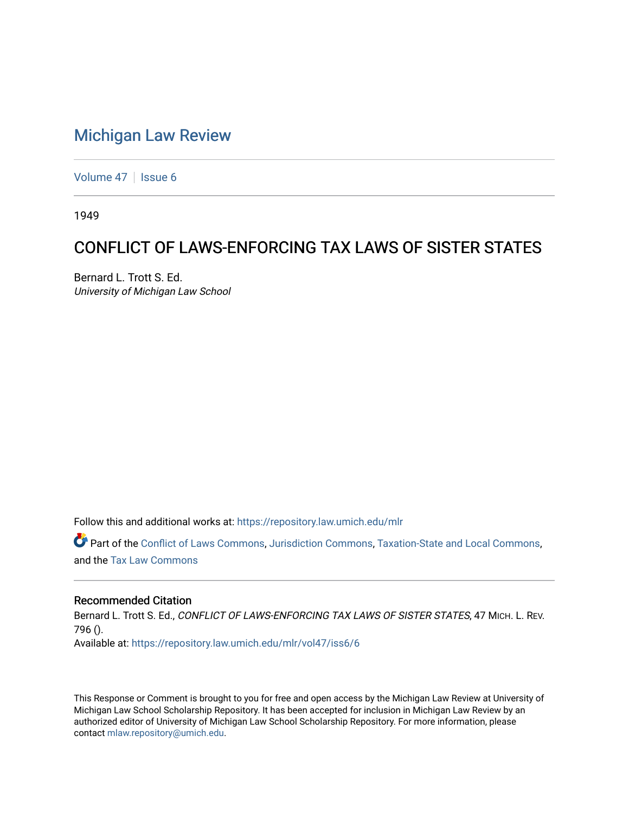# [Michigan Law Review](https://repository.law.umich.edu/mlr)

[Volume 47](https://repository.law.umich.edu/mlr/vol47) | [Issue 6](https://repository.law.umich.edu/mlr/vol47/iss6)

1949

# CONFLICT OF LAWS-ENFORCING TAX LAWS OF SISTER STATES

Bernard L. Trott S. Ed. University of Michigan Law School

Follow this and additional works at: [https://repository.law.umich.edu/mlr](https://repository.law.umich.edu/mlr?utm_source=repository.law.umich.edu%2Fmlr%2Fvol47%2Fiss6%2F6&utm_medium=PDF&utm_campaign=PDFCoverPages) 

Part of the [Conflict of Laws Commons,](http://network.bepress.com/hgg/discipline/588?utm_source=repository.law.umich.edu%2Fmlr%2Fvol47%2Fiss6%2F6&utm_medium=PDF&utm_campaign=PDFCoverPages) [Jurisdiction Commons](http://network.bepress.com/hgg/discipline/850?utm_source=repository.law.umich.edu%2Fmlr%2Fvol47%2Fiss6%2F6&utm_medium=PDF&utm_campaign=PDFCoverPages), [Taxation-State and Local Commons,](http://network.bepress.com/hgg/discipline/882?utm_source=repository.law.umich.edu%2Fmlr%2Fvol47%2Fiss6%2F6&utm_medium=PDF&utm_campaign=PDFCoverPages) and the [Tax Law Commons](http://network.bepress.com/hgg/discipline/898?utm_source=repository.law.umich.edu%2Fmlr%2Fvol47%2Fiss6%2F6&utm_medium=PDF&utm_campaign=PDFCoverPages) 

## Recommended Citation

Bernard L. Trott S. Ed., CONFLICT OF LAWS-ENFORCING TAX LAWS OF SISTER STATES, 47 MICH. L. REV. 796 (). Available at: [https://repository.law.umich.edu/mlr/vol47/iss6/6](https://repository.law.umich.edu/mlr/vol47/iss6/6?utm_source=repository.law.umich.edu%2Fmlr%2Fvol47%2Fiss6%2F6&utm_medium=PDF&utm_campaign=PDFCoverPages)

This Response or Comment is brought to you for free and open access by the Michigan Law Review at University of Michigan Law School Scholarship Repository. It has been accepted for inclusion in Michigan Law Review by an authorized editor of University of Michigan Law School Scholarship Repository. For more information, please contact [mlaw.repository@umich.edu](mailto:mlaw.repository@umich.edu).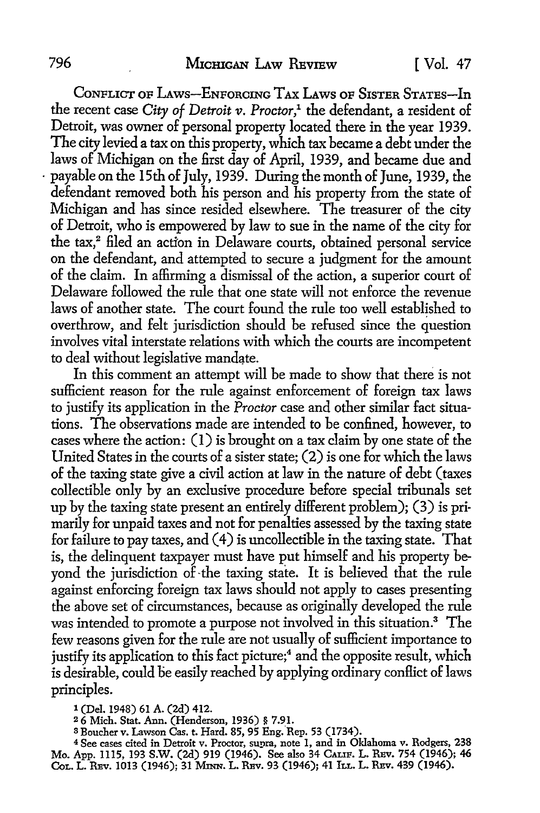CoNFLICT OF LAws-ENFORCING TAX LAws OF SISTER STATES-In the recent case City of Detroit v. Proctor,<sup>1</sup> the defendant, a resident of Detroit, was owner of personal property located there in the year 1939. The city levied a tax on this property, which tax became a debt under the laws of Michigan on the first day of April, 1939, and became due and payable on the 15th of July, 1939. During the month of June, 1939, the defendant removed both his person and his property from the state of Michigan and has since resided elsewhere. The treasurer of the city of Detroit, who is empowered by law to sue in the name of the city for the tax,<sup>2</sup> filed an action in Delaware courts, obtained personal service on the defendant, and attempted to secure a judgment for the amount of the claim. In affirming a dismissal of the action, a superior court of Delaware followed the rule that one state will not enforce the revenue laws of another state. The court found the rule too well established to overthrow, and felt jurisdiction should be refused since the question involves vital interstate relations with which the courts are incompetent to deal without legislative mandate.

In this comment an attempt will be made to show that there is not sufficient reason for the rule against enforcement of foreign tax laws to justify its application in the *Proctor* case and other similar fact situations. The observations made are intended to be confined, however, to cases where the action: (I) is brought on a tax claim by one state of the United States in the courts of a sister state; (2) is one for which the laws of the taxing state give a civil action at law in the nature of debt (taxes collectible only by an exclusive procedure before special tribunals set up by the taxing state present an entirely different problem); (3) is primarily for unpaid taxes and not for penalties assessed by the taxing state for failure to pay taxes, and ( 4) is uncollectible in the taxing state. That is, the delinquent taxpayer must have put himself and his property beyond the jurisdiction of-the taxing state. It is believed that the rule against enforcing foreign tax laws should not apply to cases presenting the above set of circumstances, because as originally developed the rule was intended to promote a purpose not involved in this situation.3 The few reasons given for the rule are not usually of sufficient importance to justify its application to this fact picture;<sup>4</sup> and the opposite result, which is desirable, could be easily reached by applying ordinary conflict of laws principles.

1 (Del. 1948) 61 A. (2d) 412.

<sup>3</sup> Boucher v. Lawson Cas. t. Hard. 85, 95 Eng. Rep. 53 (1734).

<sup>4</sup> See cases cited in Detroit v. Proctor, supra, note 1, and in Oklahoma v. Rodgers, 238 Mo. App. 1115, 193 S.W. (2d) 919 (1946). See also 34 CALIF. L. REv. 754 (1946); 46 Col. L. REv. 1013 (1946); 31 MINN. L. REv. 93 (1946); 41 ILL. L. REv. 439 (1946).

<sup>2</sup> 6 Mich. Stat. Ann. (Henderson, 1936) § 7.91.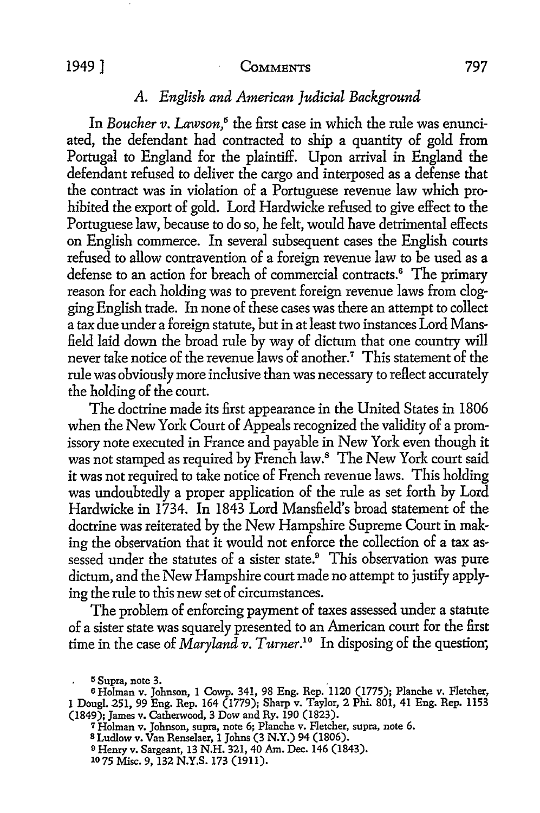### 1949] **CoMMENTS** 797

# *A. English and American Judicial Background*

In *Boucher v. Lawson*,<sup>5</sup> the first case in which the rule was enunciated, the defendant had contracted to ship a quantity of gold from Portugal to England for the plaintiff. Upon arrival in England the defendant refused to deliver the cargo and interposed as a defense that the contract was in violation of a Portuguese revenue law which prohibited the export of gold. Lord Hardwicke refused to give effect to the Portuguese law, because to do so, he felt, would have detrimental effects on English commerce. In several subsequent cases the English courts refused to allow contravention of a foreign revenue law to be used as a defense to an action for breach of commercial contracts.<sup>6</sup> The primary reason for each holding was to prevent foreign revenue laws from clogging English trade. In none of these cases was there an attempt to collect a tax due under a foreign statute, but in at least two instances Lord Mansfield laid down the broad rule by way of dictum that one country will never take notice of the revenue laws of another.<sup>7</sup> This statement of the rule was obviously more inclusive than was necessary to reflect accurately the holding of the court.

The doctrine made its first appearance in the United States in 1806 when the New York Court of Appeals recognized the validity of a promissory note executed in France and payable in New York even though it was not stamped as required by French law.<sup>8</sup> The New York court said it was not required to take notice of French revenue laws. This holding was undoubtedly a proper application of the rule as set forth by Lord Hardwicke in 1734. In 1843 Lord Mansfield's broad statement of the doctrine was reiterated by the New Hampshire Supreme Court in making the observation that it would not enforce the collection of a tax assessed under the statutes of a sister state.<sup>9</sup> This observation was pure dictum, and the New Hampshire court made no attempt to justify applying the rule to this new set of circumstances.

The problem of enforcing payment of taxes assessed under a statute of a sister state was squarely presented to an American court for the first time in the case of *Maryland v. Turner.10* In disposing of the question;

 $5 \text{ Supra, note } 3.$ 

<sup>6</sup>Holman v. Johnson, **1** Cowp. 341, 98 Eng. Rep. 1120 (1775); Planche v. Fletcher, 1 Doug!. 251, 99 Eng. Rep. 164 (1779); Sharp v. Taylor, 2 Phi. 801, 41 Eng. Rep. 1153 (1849); James v. Catherwood, 3 Dow and Ry. 190 (1823).

<sup>7</sup> Holman v. Johnson, supra, note 6; Planche v. Fletcher, supra, note 6.

s Ludlow v. Van Renselaer, 1 Johns (3 N.Y.) 94 (1806).

<sup>9</sup> Henry v. Sargeant, 13 N.H. 321, 40 Am. Dec. 146 (1843).

<sup>10 75</sup> Misc. 9, 132 N.Y.S. 173 (1911).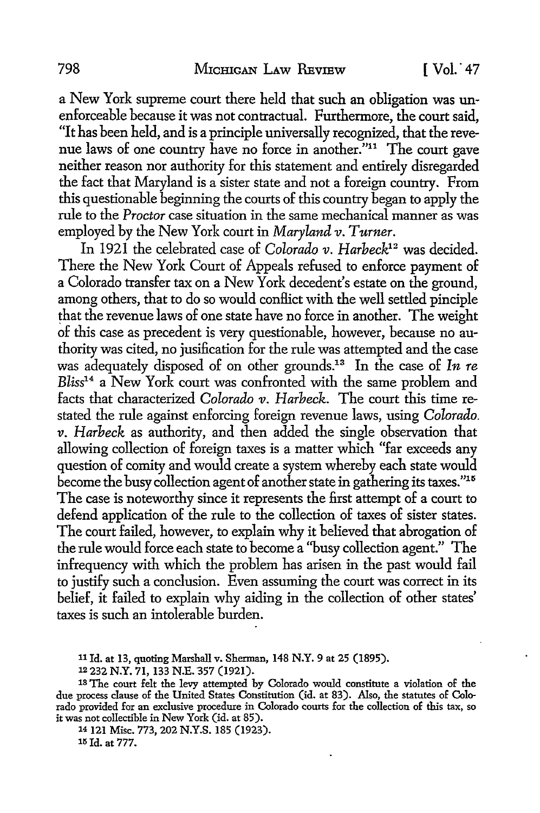a New York supreme court there held that such an obligation was unenforceable because it was not contractual. Furthermore, the court said, "It has been held, and is a principle universally recognized, that the revenue laws of one country have no force in another."11 The court gave neither reason nor authority for this statement and entirely disregarded the fact that Maryland is a sister state and not a foreign country. From this questionable beginning the courts of this country began to apply the rule to the *Proctor* case situation in the same mechanical manner as was employed by the New York court in *Maryland v. Turner.* 

In 1921 the celebrated case of *Colorado v*. *Harbeck*<sup>12</sup> was decided. There the New York Court of Appeals refused to enforce payment of a Colorado transfer tax on a New York decedent's estate on the ground, among others, that to do so would conflict with the well settled pinciple that the revenue laws of one state have no force in another. The weight of this case as precedent is very questionable, however, because no authority was cited, no jusification for the rule was attempted and the case was adequately disposed of on other grounds.13 In the case of *In re Bliss1*<sup>4</sup>a New York court was confronted with the same problem and facts that characterized *Colorado v. Harbeck*. The court this time restated the rule against enforcing foreign revenue laws, using *Colorado. v. Harbeck* as authority, and then added the single observation that allowing collection of foreign taxes is a matter which "far exceeds any question of comity and would create a system whereby each state would become the busy collection agent of another state in gathering its taxes."15 The case is noteworthy since it represents the first attempt of a court to defend application of the rule to the collection of taxes of sister states. The court failed, however, to explain why it believed that abrogation of the rule would force each state to become a ''busy collection agent." The infrequency with which the problem has arisen in the past would fail to justify such a conclusion. Even assuming the court was correct in its belief, it failed to explain why aiding in the collection of other states' taxes is such an intolerable burden.

14 121 Misc. 773, 202 N.Y.S. 185 (1923). 15 Id. at 777.

<sup>11</sup> Id. at 13, quoting Marshall v. Sherman, 148 **N.Y.** 9 at 25 (1895).

<sup>12 232</sup> N.Y. 71, 133 N.E. 357 (1921).

<sup>18</sup> The court felt the levy attempted by Colorado would constitute a violation of the due process clause of the United States Constitution (id. at 83). Also, the statutes of Colorado provided for an exclusive procedure in Colorado courts for the collection of this tax, so it was not collectible in New York (id. at 85).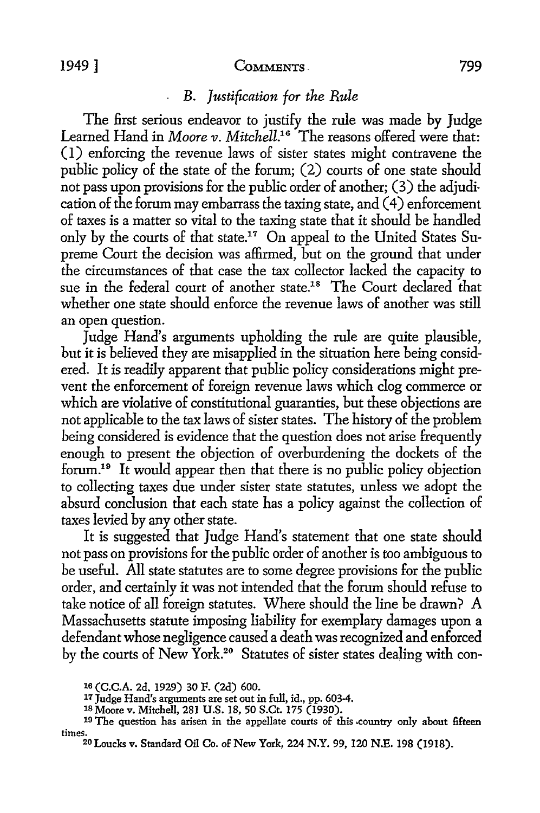#### 1949] **CoMMENTS·.** 799

## • *B. Justification for the Rule*

The first serious endeavor to justify the rule was made by Judge Learned Hand in *Moore v. Mitchell.16* The reasons offered were that: (I) enforcing the revenue laws of sister states might contravene the public policy of the state of the forum; (2) courts of one state should not pass upon provisions for the public order of another; (3) the adjudication of the forum may embarrass the taxing state, and ( 4) enforcement of taxes is a matter so vital to the taxing state that it should be handled only by the courts of that state.17 On appeal to the United States Supreme Court the decision was affirmed, but on the ground that under the circumstances of that case the tax collector lacked the capacity to sue in the federal court of another state.<sup>18</sup> The Court declared that whether one state should enforce the revenue laws of another was still an open question.

Judge Hand's arguments upholding the rule are quite plausible, but it is believed they are misapplied in the situation here being considered. It is readily apparent that public policy considerations might prevent the enforcement of foreign revenue laws which clog commerce or which are violative of constitutional guaranties, but these objections are not applicable to the tax laws of sister states. The history of the problem being considered is evidence that the question does not arise frequently enough to present the objection of overburdening the dockets of the forum.<sup>19</sup> It would appear then that there is no public policy objection to collecting taxes due under sister state statutes, unless we adopt the absurd conclusion that each state has a policy against the collection of taxes levied by any other state.

It is suggested that Judge Hand's statement that one state should not pass on provisions for the public order of another is too ambiguous to be useful. All state statutes are to some degree provisions for the public order, and certainly it was not intended that the forum should refuse to take notice of all foreign statutes. Where should the line be drawn? A Massachusetts statute imposing liability for exemplary damages upon a defendant whose negligence caused a death was recognized and enforced by the courts of New York.<sup>20</sup> Statutes of sister states dealing with con-

<sup>1</sup>a **(C.C.A.** 2d. 1929) 30 F. (2d) 600.

<sup>17</sup> Judge Hand's arguments are set out in full, id., pp. 603-4.

<sup>1</sup>s Moore v. Mitchell, 281 U.S. 18, 50 S.Ct. 175 (1930).

<sup>&</sup>lt;sup>19</sup> The question has arisen in the appellate courts of this country only about fifteen times. 20 Loucks v. Standard Oil Co. of New York, 224 N.Y. 99, 120 N.E. 198 (1918).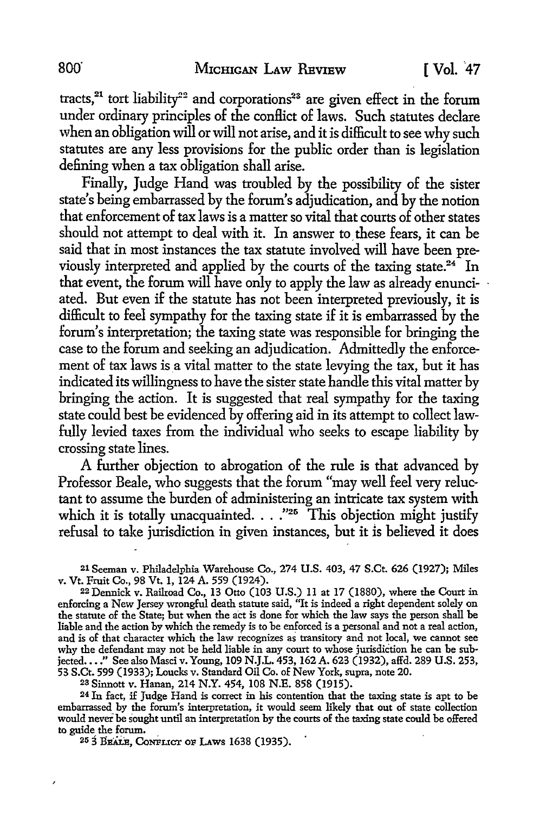tracts,<sup>21</sup> tort liability<sup>22</sup> and corporations<sup>23</sup> are given effect in the forum under ordinary principles of the conflict of laws. Such statutes declare when an obligation will or will not arise, and it is difficult to see why such statutes are any less provisions for the public order than is legislation defining when a tax obligation shall arise.

Finally, Judge Hand was troubled by the possibility of the sister state's being embarrassed by the forum's adjudication, and by the notion that enforcement of tax laws is a matter so vital that courts of other states should not attempt to deal with it. In answer to these fears, it can be said that in most instances the tax statute involved will have been previously interpreted and applied by the courts of the taxing state. $24$  In that event, the forum will have only to apply the law as already enunciated. But even if the statute has not been interpreted previously, it is difficult to feel sympathy for the taxing state if it is embarrassed by the forum's interpretation; the taxing state was responsible for bringing the case to the forum and seeking an adjudication. Admittedly the enforcement of tax laws is a vital matter to the state levying the tax, but it has indicated its willingness to have the sister state handle this vital matter by bringing the action. It is suggested that real sympathy for the taxing state could best be evidenced by offering aid in its attempt to collect lawfully levied taxes from the individual who seeks to escape liability by crossing state lines.

A further objection to abrogation of the rule is that advanced by Professor Beale, who suggests that the forum "may well feel very reluctant to assume the burden of administering an intricate tax system with which it is totally unacquainted.  $\ldots$ ."<sup>25</sup> This objection might justify refusal to take jurisdiction in given instances, but it is believed it does

21 Seeman v. Philadelphia Warehouse Co., 274 U.S. 403, 47 S.Ct. 626 (1927); Miles v. Vt. Fruit Co., 98 Vt. 1, 124 A. 559 (1924).

22 Dennick v. Railroad Co., 13 Otto (103 U.S.) 11 at 17 (1880), where the Court in enforcing a New Jersey wrongful death statute said, "It is indeed a right dependent solely on the statute of the State; but when the act is done for which the law says the person shall be liable and the action by which the remedy is to be enforced is a personal and not a real action, and is of that character which the law recognizes as transitory and not local, we cannot see why the defendant may not be held liable in any court to whose jurisdiction he can be subjected...." See also Masci v. Young, 109 N.J.L. 453, 162 A. 623 (1932), affd. 289 U.S. 253, 53 S.Ct. 599 (1933); Loucks v. Standard Oil Co. of New York, supra, note 20.

23 Sinnott v. Hanan, 214 N.Y. 454, 108 N.E. 858 (1915).

24 In fact, if Judge Hand is correct in his contention that the taxing state is apt to be embarrassed by the forum's interpretation, it would seem likely that out of state collection would never be sought until an interpretation by the courts of the taxing state could be offered to guide the forum.

<sup>25</sup> 3 BEALE, CONFLICT OF LAWS 1638 (1935).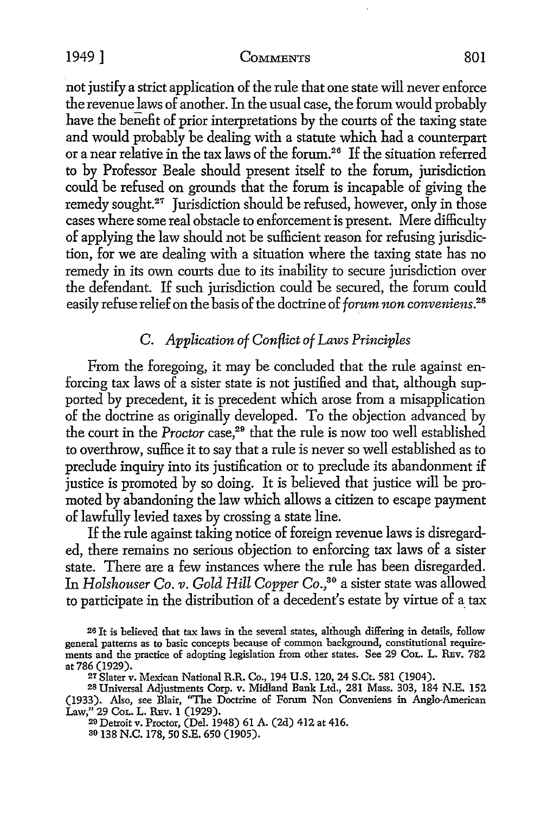#### 1949] COMMENTS 801

not justify a strict application of the rule that one state will never enforce the revenue laws of another. In the usual case, the forum would probably have the benefit of prior interpretations by the courts of the taxing state and would probably be dealing with a statute which had a counterpart or a near relative in the tax laws of the forum.26 If the situation referred to by Professor Beale should present itself to the forum, jurisdiction could be refused on grounds that the forum is incapable of giving the remedy sought.<sup>27</sup> Jurisdiction should be refused, however, only in those cases where some real obstacle to enforcement is present. Mere difficulty of applying the law should not be sufficient reason for refusing jurisdiction, for we are dealing with a situation where the taxing state has no remedy in its own courts due to its inability *to* secure jurisdiction over the defendant. If such jurisdiction could be secured, the forum could easily refuse relief on the basis of the doctrine of *forum non conveniens.28* 

# C. *Application of Conflict of Laws Principles*

From the foregoing, it may be concluded that the rule against enforcing tax laws of a sister state is not justified and that, although supported by precedent, it is precedent which arose from a misapplication of the doctrine as originally developed. To the objection advanced by the court in the *Proctor* case, 29 that the rule is now too well established to overthrow, suffice it to say that a rule is never so well established as *to*  preclude inquiry into its justification or to preclude its abandonment if justice is promoted by so doing. It is believed that justice will be promoted by abandoning the law which allows a citizen to escape payment of lawfully levied taxes by crossing a state line.

If the rule against taking notice of foreign revenue laws is disregarded, there remains no serious objection to enforcing tax laws of a sister state. There are a few instances where the rule has been disregarded. In *Holshouser Co. v. Gold Hill Copper Co.*,<sup>30</sup> a sister state was allowed to participate in the distribution of a decedent's estate by virtue of a\_ tax

26 It is believed that tax laws in the several states, although differing in details, follow general patterns as to basic concepts because of common background, constitutional requirements and the practice of adopting legislation from other states. See 29 CoL. L. REv. 782 at 786 (1929).

*21* Slater v. Mexican National R.R. Co., 194 U.S. 120, 24 S.Ct. 581 (1904).

2s Universal Adjustments Corp. v. Midland Bank Ltd., 281 Mass. 303, 184 N.E. 152 (1933). Also, see Blair, ''The Doctrine of Forum Non Conveniens in Anglo-American Law," 29 CoL. L. REv. 1 (1929).

29 Detroit v. Proctor, (Del. 1948) 61 A. (2d) 412 at 416.

ao 138 N.C. 178, 50 S.E. 650 (1905).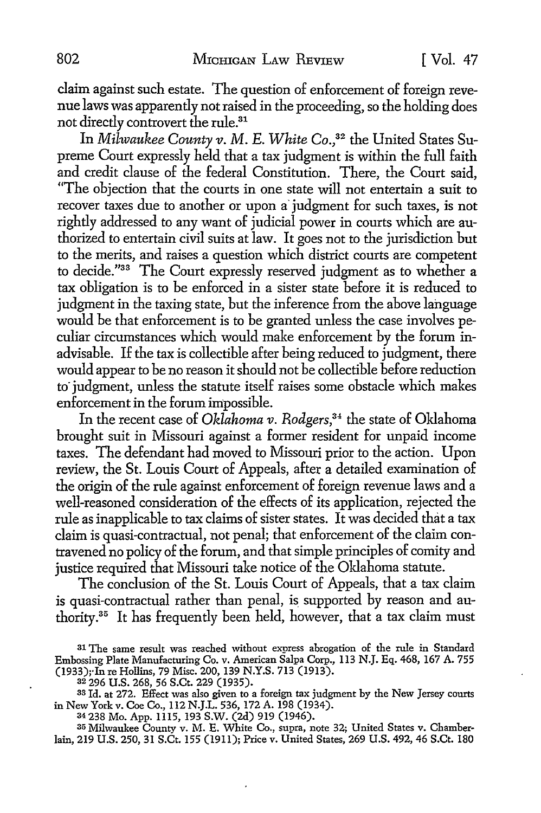claim against such estate. The question of enforcement of foreign revenue laws was apparently not raised in the proceeding, so the holding does not directly controvert the rule.31

In *Milwaukee County v. M. E. White Co.*<sup>32</sup> the United States Supreme Court expressly held that a tax judgment is within the full faith and credit clause of the federal Constitution. There, the Court said, "The objection that the courts in one state will not entertain a suit to recover taxes due to another or upon a· judgment for such taxes, is not rightly addressed to any want of judicial power in courts which are authorized to entertain civil suits at law. It goes not to the jurisdiction but to the merits, and raises a question which district courts are competent to decide."33 The Court expressly reserved judgment as to whether a tax obligation is to be enforced in a sister state before it is reduced to judgment in the taxing state, but the inference from the above language would be that enforcement is to be granted unless the case involves peculiar circumstances which would make enforcement by the forum inadvisable. If the tax is collectible after being reduced to judgment, there would appear to be no reason it should not be collectible before reduction to judgment, unless the statute itself raises some obstacle which makes enforcement in the forum impossible.

In the recent case of *Oklahoma v. Rodgers,34* the state of Oklahoma brought suit in Missouri against a former resident for unpaid income taxes. The defendant had moved to Missouri prior to the action. Upon review, the St. Louis Court of Appeals, after a detailed examination of the origin of the rule against enforcement of foreign revenue laws and a well-reasoned consideration of the effects of its application, rejected the rule as inapplicable to tax claims of sister states. It was decided that a tax claim is quasi-contractual, not penal; that enforcement of the claim contravened no policy of the forum, and that simple principles of comity and justice required that Missouri take notice of the Oklahoma statute.

The conclusion of the St. Louis Court of Appeals, that a tax claim is quasi-contractual rather than penal, is supported by reason and authority.35 It has frequently been held, however, that a tax claim must

33 Id. at 272. Effect was also given to a foreign tax judgment by the New Jersey courts in New York v. Coe Co., 112 N.J.L. 536, 172 A. 198 (1934).

34238 Mo. App. 1115, 193 S.W. (2d) 919 (1946).

35 Milwaukee County v. M. E. White Co., supra, note 32; United States v. Chamberlain, 219 U.S. 250, 31 S.Ct. 155 (1911); Price v. United States, 269 U.S. 492, 46 S.Ct. 180

<sup>31</sup> The same result was reached without express abrogation of the rule in Standard Embossing Plate Manufacturing Co. v. American Salpa Corp., 113 N.J. Eq. 468, 167 A. 755 (1933);·In re Hollins, 79 Misc. 200, 139 N.Y.S. 713 (1913).

a2 296 U.S. 268, 56 S.Ct. 229 (1935).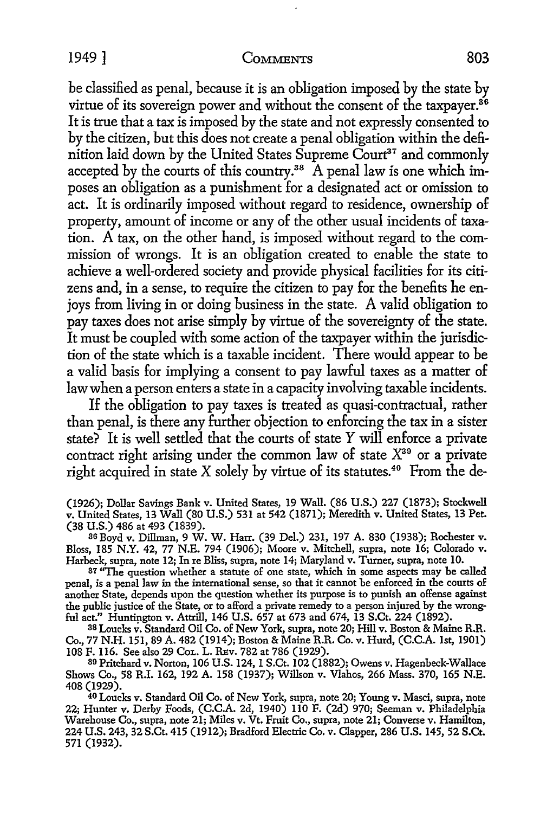### 1949 ] COMMENTS 803

be classified as penal, because it is an obligation imposed by the state by virtue of its sovereign power and without the consent of the taxpayer.<sup>86</sup> It is true that a tax is imposed by the state and not expressly consented to by the citizen, but this does not create a penal obligation within the definition laid down by the United States Supreme Court<sup>37</sup> and commonly accepted by the courts of this country.<sup>38</sup> A penal law is one which imposes an obligation as a punishment for a designated act or omission to act. It is ordinarily imposed without regard to residence, ownership of property, amount of income or any of the other usual incidents of taxation. A tax, on the other hand, is imposed without regard to the commission of wrongs. It is an obligation created to enable the state to achieve a well-ordered society and provide physical facilities for its citizens and, in a sense, to require the citizen to pay for the benefits he enjoys from living in or doing business in the state. A valid obligation to pay taxes does not arise simply by virtue of the sovereignty of the state. It must be coupled with some action of the taxpayer within the jurisdiction of the state which is a taxable incident. There would appear to be a valid basis for implying a consent to pay lawful taxes as a matter of law when a person enters a state in a capacity involving taxable incidents.

If the obligation to pay taxes is treated as quasi-contractual, rather than penal, is there any further objection to enforcing the tax in a sister state? It is well settled that the courts of state *Y* will enforce a private contract right arising under the common law of state  $X^{39}$  or a private right acquired in state X solely by virtue of its statutes.<sup>40</sup> From the de-

(1926); Dollar Savings Bank v. United States, 19 Wall. (86 U.S.) 227 (1873); Stockwell v. United States, 13 Wall (80 U.S.) 531 at 542 (1871); Meredith v. United States, 13 Pet. (38 U.S.) 486 at 493 (1839).

3G Boyd v. Dillman, 9 W. W. Harr. (39 Del.) 231, 197 A. 830 (1938); Rochester v. Bloss, 185 N.Y. 42, 77 N.E. 794 (1906); Moore v. Mitchell, supra, note 16; Colorado v. Harbeck, supra, note 12; In re Bliss, supra, note 14; Maryland v. Turner, supra, note 10.

<sup>37</sup> "The question whether a statute of one state, which in some aspects may be called penal, is a penal law in the international sense, so that it cannot be enforced in the courts of another State, depends upon the question whether its purpose is to punish an offense against the public justice of the State, or to afford a private remedy to a person injured by the wrongful act." Huntington v. Attrill, 146 U.S. 657 at 673 and 674, 13 S.Ct. 224 (1892).

38 Loucks v. Standard Oil Co. of New York, supra, note 20; Hill v. Boston & Maine R.R. Co., 77 N.H. 151, 89 A. 482 (1914); Boston & Maine R.R. Co. v. Hurd, (C.C.A. 1st, 1901) 108 F. 116. See also 29 CoL. L. REv. 782 at 786 (1929).

39 Pritchard v. Norton, 106 U.S. 124, I S.Ct. 102 (1882); Owens v. Hagenbeck-Wallace Shows Co., 58 R.I. 162, 192 A. 158 (1937); Willson v. Vlahos, 266 Mass. 370, 165 N.E. 408 (1929).

40 Loucks v. Standard Oil Co. of New York, supra, note 20; Young v. Masci, supra, note 22; Hunter v. Derby Foods, (C.C.A. 2d, 1940) 110 F. (2d) 970; Seeman v. Philadelphia Warehouse Co., supra, note 21; Miles v. Vt. Fruit Co., supra, note 21; Converse v. Hamilton, 224 U.S. 243, 32 S.Ct. 415 (1912); Bradford Electric Co. v. Clapper, 286 U.S. 145, 52 S.Ct. 571 (1932).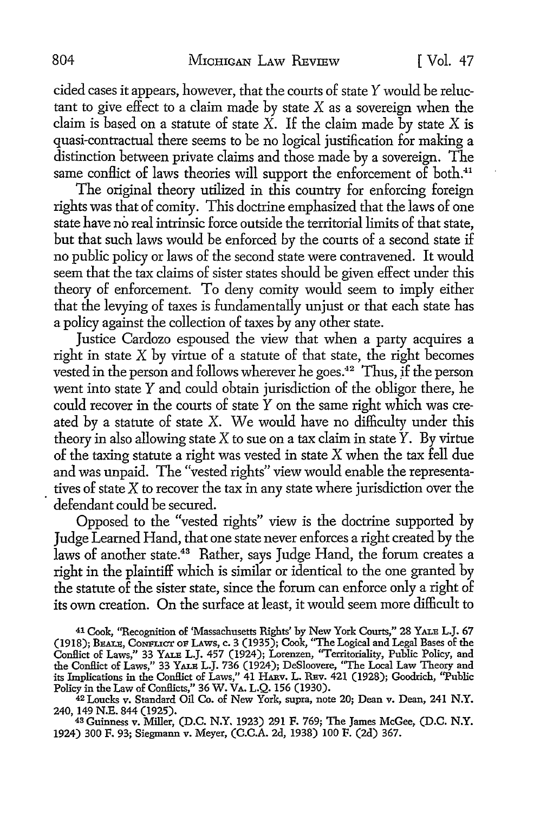cided cases it appears, however, that the courts of state *Y* would be reluctant to give effect to a claim made by state  $X$  as a sovereign when the claim is based on a statute of state  $X$ . If the claim made by state  $X$  is quasi-contractual there seems to be no logical justification for making a distinction between private claims and those made by a sovereign. The same conflict of laws theories will support the enforcement of both.<sup>41</sup>

The original theory utilized in this country for enforcing foreign rights was that of comity. This doctrine emphasized that the laws of one state have no real intrinsic force outside the territorial limits of that state, but that such laws would be enforced by the courts of a second state if no public policy or laws of the second state were contravened. It would seem that the tax claims of sister states should be given effect under this theory of enforcement. To deny comity would seem to imply either that the levying of taxes is fundamentally unjust or that each state has a policy against the collection of taxes by any other state.

Justice Cardozo espoused the view that when a party acquires a right in state  $X$  by virtue of a statute of that state, the right becomes vested in the person and follows wherever he goes.42 Thus, jf the person went into state Y and could obtain jurisdiction of the obligor there, he could recover in the courts of state Y on the same right which was created by a statute of state X. We would have no difficulty under this theory in also allowing state X to sue on a tax claim in state  $\hat{Y}$ . By virtue of the taxing statute a right was vested in state X when the tax fell due and was unpaid. The "vested rights" view would enable the representa tives of state  $X$  to recover the tax in any state where jurisdiction over the defendant could be secured.

Opposed to the "vested rights" view is the doctrine supported by Judge Learned Hand, that one state never enforces a right created by the laws of another state.<sup>43</sup> Rather, says Judge Hand, the forum creates a right in the plaintiff which is similar or identical to the one granted by the statute of the sister state, since the forum can enforce only a right of its own creation. On the surface at least, it would seem more difficult to

41 Cook, ''Recognition of 'Massachusetts Rights' by New York Courts," 28 YALE L.J. 67 (1918); BEALE, CONFLICT oF LAws, c. 3 (1935); Cook, "The Logical and Legal Bases of the Conflict of Laws," 33 YALE L.J. 457 (1924); Lorenzen, ''Territoriality, Public Policy, and the Conflict of Laws," 33 YALE L.J. 736 (1924); DeSloovere, ''The Local Law Theory and its Implications in the Conflict of Laws," 41 HARv. L. REv. 421 (1928); Goodrich, ''Public Policy in the Law of Conflicts," 36 W. VA. L.Q. 156 (1930).

<sup>42</sup> Loucks v. Standard Oil Co. of New York, supra, note 20; Dean v. Dean, 241 N.Y.<br>240, 149 N.E. 844 (1925).

43 Guinness v. Miller, (D.C. N.Y. 1923) 291 F. 769; The James McGee, (D.C. N.Y. 1924) 300 F. 93; Siegmann v. Meyer, (C.C.A. 2d, 1938) 100 F. (2d) 367.